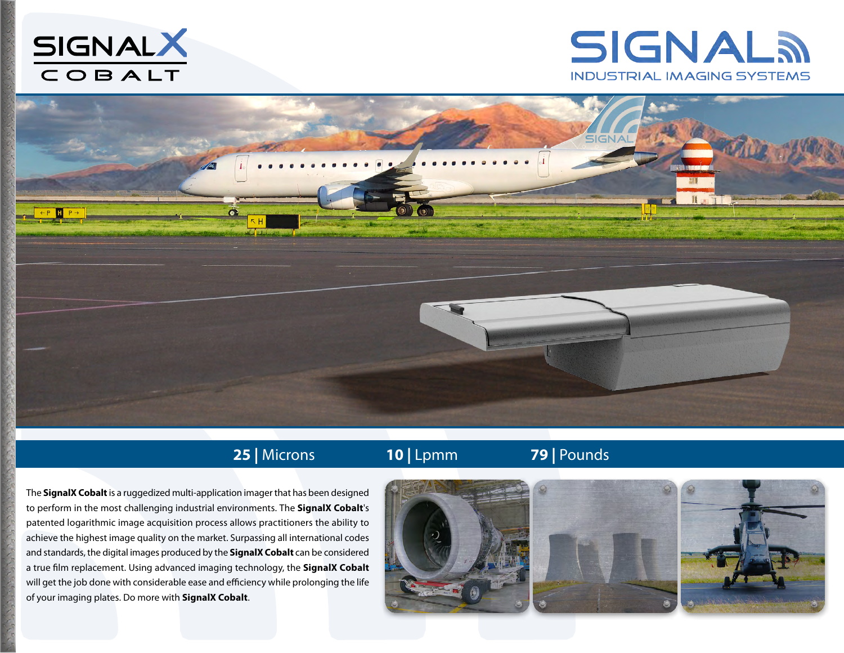





## **25 |** Microns **10 |** Lpmm **79 |** Pounds

The **SignalX Cobalt** is a ruggedized multi-application imager that has been designed to perform in the most challenging industrial environments. The **SignalX Cobalt**'s patented logarithmic image acquisition process allows practitioners the ability to achieve the highest image quality on the market. Surpassing all international codes and standards, the digital images produced by the **SignalX Cobalt** can be considered a true film replacement. Using advanced imaging technology, the **SignalX Cobalt** will get the job done with considerable ease and efficiency while prolonging the life of your imaging plates. Do more with **SignalX Cobalt**.